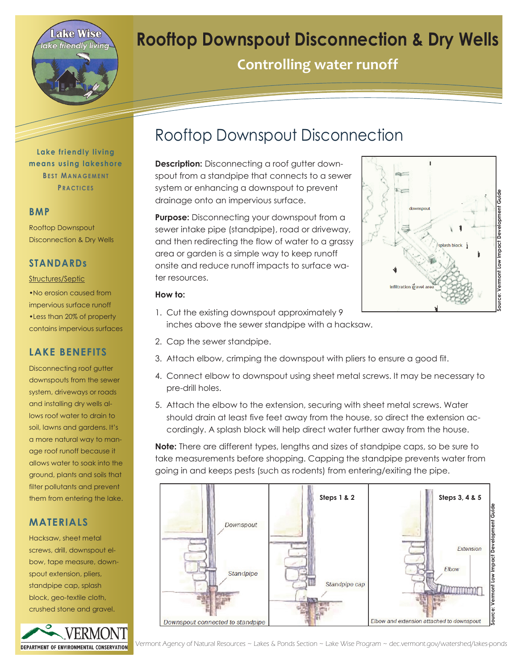

# **Rooftop Downspout Disconnection & Dry Wells**

**Controlling water runoff** 

**Lake friendly living means using lakeshore BEST MANAGEMENT P R A C T I C E S**

#### **BMP**

Rooftop Downspout Disconnection & Dry Wells

### **STANDARDs**

#### Structures/Septic

•No erosion caused from impervious surface runoff •Less than 20% of property contains impervious surfaces

## **LAKE BENEFITS**

Disconnecting roof gutter downspouts from the sewer system, driveways or roads and installing dry wells allows roof water to drain to soil, lawns and gardens. It's a more natural way to manage roof runoff because it allows water to soak into the ground, plants and soils that filter pollutants and prevent them from entering the lake.

### **MATERIALS**

Hacksaw, sheet metal screws, drill, downspout elbow, tape measure, downspout extension, pliers, standpipe cap, splash block, geo-textile cloth, crushed stone and gravel.



## Rooftop Downspout Disconnection

**Description:** Disconnecting a roof gutter downspout from a standpipe that connects to a sewer system or enhancing a downspout to prevent drainage onto an impervious surface.

**Purpose:** Disconnecting your downspout from a sewer intake pipe (standpipe), road or driveway, and then redirecting the flow of water to a grassy area or garden is a simple way to keep runoff onsite and reduce runoff impacts to surface water resources.



#### **How to:**

- 1. Cut the existing downspout approximately 9 inches above the sewer standpipe with a hacksaw.
- 2. Cap the sewer standpipe.
- 3. Attach elbow, crimping the downspout with pliers to ensure a good fit.
- 4. Connect elbow to downspout using sheet metal screws. It may be necessary to pre-drill holes.
- 5. Attach the elbow to the extension, securing with sheet metal screws. Water should drain at least five feet away from the house, so direct the extension accordingly. A splash block will help direct water further away from the house.

**Note:** There are different types, lengths and sizes of standpipe caps, so be sure to take measurements before shopping. Capping the standpipe prevents water from going in and keeps pests (such as rodents) from entering/exiting the pipe.